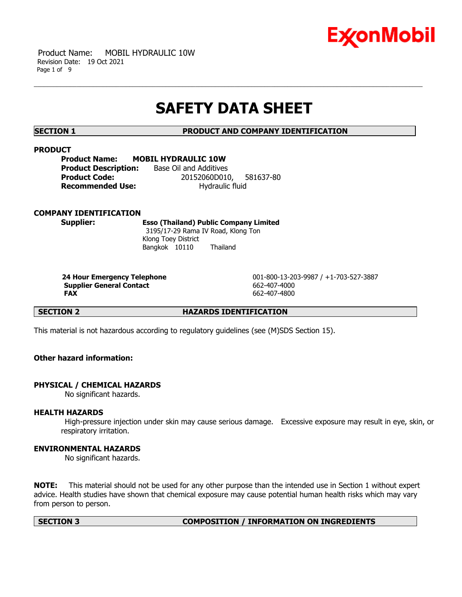

 Product Name: MOBIL HYDRAULIC 10W Revision Date: 19 Oct 2021 Page 1 of 9

# **SAFETY DATA SHEET**

**SECTION 1 PRODUCT AND COMPANY IDENTIFICATION**

#### **PRODUCT**

**Product Name: MOBIL HYDRAULIC 10W Product Description:** Base Oil and Additives **Product Code:** 20152060D010, 581637-80 **Recommended Use:** Hydraulic fluid

# **COMPANY IDENTIFICATION**

**Supplier: Esso (Thailand) Public Company Limited** 3195/17-29 Rama IV Road, Klong Ton Klong Toey District Bangkok 10110 Thailand

**Supplier General Contact** 662-407-4000 **FAX** 662-407-4800

**24 Hour Emergency Telephone** 001-800-13-203-9987 / +1-703-527-3887

**SECTION 2 HAZARDS IDENTIFICATION**

This material is not hazardous according to regulatory guidelines (see (M)SDS Section 15).

# **Other hazard information:**

# **PHYSICAL / CHEMICAL HAZARDS**

No significant hazards.

# **HEALTH HAZARDS**

High-pressure injection under skin may cause serious damage. Excessive exposure may result in eye, skin, or respiratory irritation.

# **ENVIRONMENTAL HAZARDS**

No significant hazards.

**NOTE:** This material should not be used for any other purpose than the intended use in Section 1 without expert advice. Health studies have shown that chemical exposure may cause potential human health risks which may vary from person to person.

#### **SECTION 3 COMPOSITION / INFORMATION ON INGREDIENTS**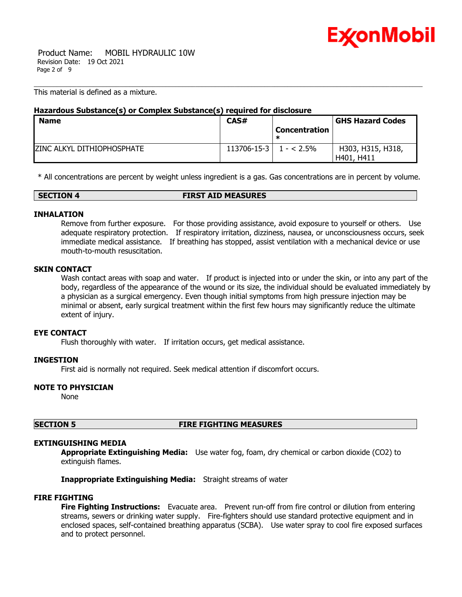

 Product Name: MOBIL HYDRAULIC 10W Revision Date: 19 Oct 2021 Page 2 of 9

This material is defined as a mixture.

# **Hazardous Substance(s) or Complex Substance(s) required for disclosure**

| <b>Name</b>                 | CAS#                             |                      | <b>GHS Hazard Codes</b> |
|-----------------------------|----------------------------------|----------------------|-------------------------|
|                             |                                  | <b>Concentration</b> |                         |
|                             |                                  |                      |                         |
| IZINC ALKYL DITHIOPHOSPHATE | $113706 - 15 - 3 \mid 1 - 2.5\%$ |                      | H303, H315, H318,       |
|                             |                                  |                      | H401, H411              |

\* All concentrations are percent by weight unless ingredient is a gas. Gas concentrations are in percent by volume.

| <b>SECTION 4</b> | <b>FIRST AID MEASURES</b> |  |
|------------------|---------------------------|--|

# **INHALATION**

Remove from further exposure. For those providing assistance, avoid exposure to yourself or others. Use adequate respiratory protection. If respiratory irritation, dizziness, nausea, or unconsciousness occurs, seek immediate medical assistance. If breathing has stopped, assist ventilation with a mechanical device or use mouth-to-mouth resuscitation.

# **SKIN CONTACT**

Wash contact areas with soap and water. If product is injected into or under the skin, or into any part of the body, regardless of the appearance of the wound or its size, the individual should be evaluated immediately by a physician as a surgical emergency. Even though initial symptoms from high pressure injection may be minimal or absent, early surgical treatment within the first few hours may significantly reduce the ultimate extent of injury.

# **EYE CONTACT**

Flush thoroughly with water. If irritation occurs, get medical assistance.

# **INGESTION**

First aid is normally not required. Seek medical attention if discomfort occurs.

# **NOTE TO PHYSICIAN**

None

# **SECTION 5 FIRE FIGHTING MEASURES**

# **EXTINGUISHING MEDIA**

**Appropriate Extinguishing Media:** Use water fog, foam, dry chemical or carbon dioxide (CO2) to extinguish flames.

**Inappropriate Extinguishing Media:** Straight streams of water

# **FIRE FIGHTING**

**Fire Fighting Instructions:** Evacuate area. Prevent run-off from fire control or dilution from entering streams, sewers or drinking water supply. Fire-fighters should use standard protective equipment and in enclosed spaces, self-contained breathing apparatus (SCBA). Use water spray to cool fire exposed surfaces and to protect personnel.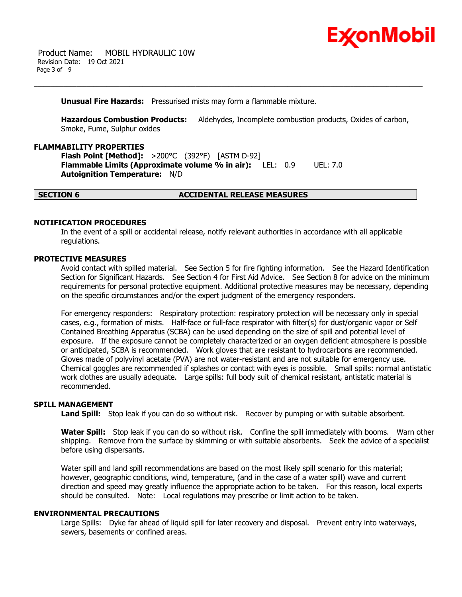

#### **Unusual Fire Hazards:** Pressurised mists may form a flammable mixture.

**Hazardous Combustion Products:** Aldehydes, Incomplete combustion products, Oxides of carbon, Smoke, Fume, Sulphur oxides

#### **FLAMMABILITY PROPERTIES**

**Flash Point [Method]:** >200°C (392°F) [ASTM D-92] **Flammable Limits (Approximate volume % in air):** LEL: 0.9 UEL: 7.0 **Autoignition Temperature:** N/D

# **SECTION 6 ACCIDENTAL RELEASE MEASURES**

#### **NOTIFICATION PROCEDURES**

In the event of a spill or accidental release, notify relevant authorities in accordance with all applicable regulations.

#### **PROTECTIVE MEASURES**

Avoid contact with spilled material. See Section 5 for fire fighting information. See the Hazard Identification Section for Significant Hazards. See Section 4 for First Aid Advice. See Section 8 for advice on the minimum requirements for personal protective equipment. Additional protective measures may be necessary, depending on the specific circumstances and/or the expert judgment of the emergency responders.

For emergency responders: Respiratory protection: respiratory protection will be necessary only in special cases, e.g., formation of mists. Half-face or full-face respirator with filter(s) for dust/organic vapor or Self Contained Breathing Apparatus (SCBA) can be used depending on the size of spill and potential level of exposure. If the exposure cannot be completely characterized or an oxygen deficient atmosphere is possible or anticipated, SCBA is recommended. Work gloves that are resistant to hydrocarbons are recommended. Gloves made of polyvinyl acetate (PVA) are not water-resistant and are not suitable for emergency use. Chemical goggles are recommended if splashes or contact with eyes is possible. Small spills: normal antistatic work clothes are usually adequate. Large spills: full body suit of chemical resistant, antistatic material is recommended.

#### **SPILL MANAGEMENT**

**Land Spill:** Stop leak if you can do so without risk. Recover by pumping or with suitable absorbent.

**Water Spill:** Stop leak if you can do so without risk. Confine the spill immediately with booms. Warn other shipping. Remove from the surface by skimming or with suitable absorbents. Seek the advice of a specialist before using dispersants.

Water spill and land spill recommendations are based on the most likely spill scenario for this material; however, geographic conditions, wind, temperature, (and in the case of a water spill) wave and current direction and speed may greatly influence the appropriate action to be taken. For this reason, local experts should be consulted. Note: Local regulations may prescribe or limit action to be taken.

# **ENVIRONMENTAL PRECAUTIONS**

Large Spills: Dyke far ahead of liquid spill for later recovery and disposal. Prevent entry into waterways, sewers, basements or confined areas.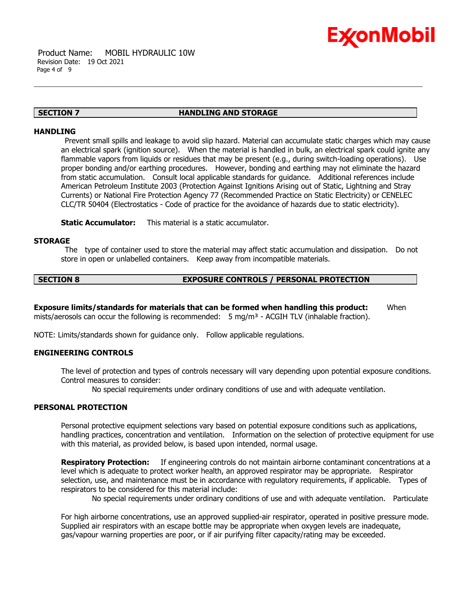

#### **SECTION 7 HANDLING AND STORAGE**

#### **HANDLING**

Prevent small spills and leakage to avoid slip hazard. Material can accumulate static charges which may cause an electrical spark (ignition source). When the material is handled in bulk, an electrical spark could ignite any flammable vapors from liquids or residues that may be present (e.g., during switch-loading operations). Use proper bonding and/or earthing procedures. However, bonding and earthing may not eliminate the hazard from static accumulation. Consult local applicable standards for guidance. Additional references include American Petroleum Institute 2003 (Protection Against Ignitions Arising out of Static, Lightning and Stray Currents) or National Fire Protection Agency 77 (Recommended Practice on Static Electricity) or CENELEC CLC/TR 50404 (Electrostatics - Code of practice for the avoidance of hazards due to static electricity).

**Static Accumulator:** This material is a static accumulator.

# **STORAGE**

The type of container used to store the material may affect static accumulation and dissipation. Do not store in open or unlabelled containers. Keep away from incompatible materials.

# **SECTION 8 EXPOSURE CONTROLS / PERSONAL PROTECTION**

**Exposure limits/standards for materials that can be formed when handling this product:** When mists/aerosols can occur the following is recommended:  $5 \text{ mg/m}^3$  - ACGIH TLV (inhalable fraction).

NOTE: Limits/standards shown for guidance only. Follow applicable regulations.

# **ENGINEERING CONTROLS**

The level of protection and types of controls necessary will vary depending upon potential exposure conditions. Control measures to consider:

No special requirements under ordinary conditions of use and with adequate ventilation.

# **PERSONAL PROTECTION**

Personal protective equipment selections vary based on potential exposure conditions such as applications, handling practices, concentration and ventilation. Information on the selection of protective equipment for use with this material, as provided below, is based upon intended, normal usage.

**Respiratory Protection:** If engineering controls do not maintain airborne contaminant concentrations at a level which is adequate to protect worker health, an approved respirator may be appropriate. Respirator selection, use, and maintenance must be in accordance with regulatory requirements, if applicable. Types of respirators to be considered for this material include:

No special requirements under ordinary conditions of use and with adequate ventilation. Particulate

For high airborne concentrations, use an approved supplied-air respirator, operated in positive pressure mode. Supplied air respirators with an escape bottle may be appropriate when oxygen levels are inadequate, gas/vapour warning properties are poor, or if air purifying filter capacity/rating may be exceeded.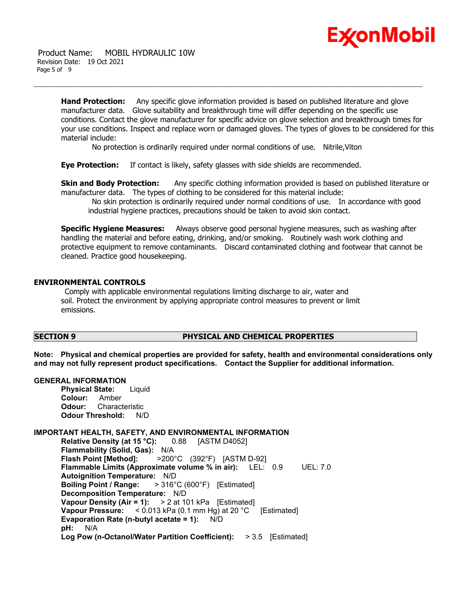

**Hand Protection:** Any specific glove information provided is based on published literature and glove manufacturer data. Glove suitability and breakthrough time will differ depending on the specific use conditions. Contact the glove manufacturer for specific advice on glove selection and breakthrough times for your use conditions. Inspect and replace worn or damaged gloves. The types of gloves to be considered for this material include:

No protection is ordinarily required under normal conditions of use. Nitrile,Viton

**Eye Protection:** If contact is likely, safety glasses with side shields are recommended.

**Skin and Body Protection:** Any specific clothing information provided is based on published literature or manufacturer data. The types of clothing to be considered for this material include:

No skin protection is ordinarily required under normal conditions of use. In accordance with good industrial hygiene practices, precautions should be taken to avoid skin contact.

**Specific Hygiene Measures:** Always observe good personal hygiene measures, such as washing after handling the material and before eating, drinking, and/or smoking. Routinely wash work clothing and protective equipment to remove contaminants. Discard contaminated clothing and footwear that cannot be cleaned. Practice good housekeeping.

# **ENVIRONMENTAL CONTROLS**

Comply with applicable environmental regulations limiting discharge to air, water and soil. Protect the environment by applying appropriate control measures to prevent or limit emissions.

# **SECTION 9 PHYSICAL AND CHEMICAL PROPERTIES**

**Note: Physical and chemical properties are provided for safety, health and environmental considerations only and may not fully represent product specifications. Contact the Supplier for additional information.**

#### **GENERAL INFORMATION**

**Physical State:** Liquid **Colour:** Amber **Odour:** Characteristic **Odour Threshold:** N/D

# **IMPORTANT HEALTH, SAFETY, AND ENVIRONMENTAL INFORMATION**

**Relative Density (at 15 °C):** 0.88 [ASTM D4052] **Flammability (Solid, Gas):** N/A **Flash Point [Method]:** >200°C (392°F) [ASTM D-92] **Flammable Limits (Approximate volume % in air):** LEL: 0.9 UEL: 7.0 **Autoignition Temperature:** N/D **Boiling Point / Range:** > 316°C (600°F) [Estimated] **Decomposition Temperature:** N/D **Vapour Density (Air = 1):** > 2 at 101 kPa [Estimated] **Vapour Pressure:** < 0.013 kPa (0.1 mm Hg) at 20 °C [Estimated] **Evaporation Rate (n-butyl acetate = 1):** N/D **pH:** N/A **Log Pow (n-Octanol/Water Partition Coefficient):** > 3.5 [Estimated]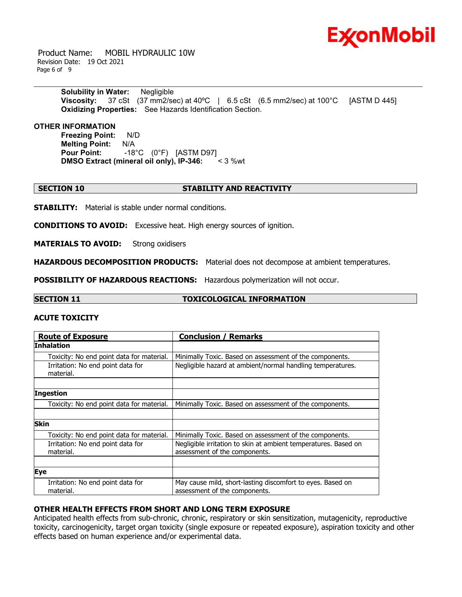

 Product Name: MOBIL HYDRAULIC 10W Revision Date: 19 Oct 2021 Page 6 of 9

> **Solubility in Water:** Negligible **Viscosity:** 37 cSt (37 mm2/sec) at 40°C | 6.5 cSt (6.5 mm2/sec) at 100°C [ASTM D 445] **Oxidizing Properties:** See Hazards Identification Section.

**OTHER INFORMATION**

**Freezing Point:** N/D **Melting Point:** N/A **Pour Point:** -18°C (0°F) [ASTM D97] **DMSO Extract (mineral oil only), IP-346:** < 3 %wt

#### **SECTION 10 STABILITY AND REACTIVITY**

**STABILITY:** Material is stable under normal conditions.

**CONDITIONS TO AVOID:** Excessive heat. High energy sources of ignition.

**MATERIALS TO AVOID:** Strong oxidisers

**HAZARDOUS DECOMPOSITION PRODUCTS:** Material does not decompose at ambient temperatures.

**POSSIBILITY OF HAZARDOUS REACTIONS:** Hazardous polymerization will not occur.

**SECTION 11 TOXICOLOGICAL INFORMATION**

# **ACUTE TOXICITY**

| <b>Route of Exposure</b>                       | <b>Conclusion / Remarks</b>                                                                      |  |
|------------------------------------------------|--------------------------------------------------------------------------------------------------|--|
| Inhalation                                     |                                                                                                  |  |
| Toxicity: No end point data for material.      | Minimally Toxic. Based on assessment of the components.                                          |  |
| Irritation: No end point data for<br>material. | Negligible hazard at ambient/normal handling temperatures.                                       |  |
|                                                |                                                                                                  |  |
| <b>Ingestion</b>                               |                                                                                                  |  |
| Toxicity: No end point data for material.      | Minimally Toxic. Based on assessment of the components.                                          |  |
|                                                |                                                                                                  |  |
| <b>Skin</b>                                    |                                                                                                  |  |
| Toxicity: No end point data for material.      | Minimally Toxic. Based on assessment of the components.                                          |  |
| Irritation: No end point data for<br>material. | Negligible irritation to skin at ambient temperatures. Based on<br>assessment of the components. |  |
|                                                |                                                                                                  |  |
| Eye                                            |                                                                                                  |  |
| Irritation: No end point data for<br>material. | May cause mild, short-lasting discomfort to eyes. Based on<br>assessment of the components.      |  |

# **OTHER HEALTH EFFECTS FROM SHORT AND LONG TERM EXPOSURE**

Anticipated health effects from sub-chronic, chronic, respiratory or skin sensitization, mutagenicity, reproductive toxicity, carcinogenicity, target organ toxicity (single exposure or repeated exposure), aspiration toxicity and other effects based on human experience and/or experimental data.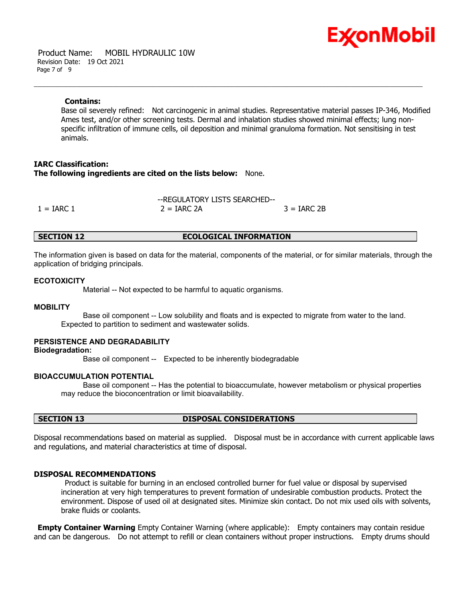

 Product Name: MOBIL HYDRAULIC 10W Revision Date: 19 Oct 2021 Page 7 of 9

#### **Contains:**

Base oil severely refined: Not carcinogenic in animal studies. Representative material passes IP-346, Modified Ames test, and/or other screening tests. Dermal and inhalation studies showed minimal effects; lung nonspecific infiltration of immune cells, oil deposition and minimal granuloma formation. Not sensitising in test animals.

# **IARC Classification: The following ingredients are cited on the lists below:** None.

--REGULATORY LISTS SEARCHED--  $1 = IARC 1$   $2 = IARC 2A$   $3 = IARC 2B$ 

# **SECTION 12 ECOLOGICAL INFORMATION**

The information given is based on data for the material, components of the material, or for similar materials, through the application of bridging principals.

#### **ECOTOXICITY**

Material -- Not expected to be harmful to aquatic organisms.

#### **MOBILITY**

 Base oil component -- Low solubility and floats and is expected to migrate from water to the land. Expected to partition to sediment and wastewater solids.

# **PERSISTENCE AND DEGRADABILITY**

#### **Biodegradation:**

Base oil component -- Expected to be inherently biodegradable

#### **BIOACCUMULATION POTENTIAL**

 Base oil component -- Has the potential to bioaccumulate, however metabolism or physical properties may reduce the bioconcentration or limit bioavailability.

#### **SECTION 13 DISPOSAL CONSIDERATIONS**

Disposal recommendations based on material as supplied. Disposal must be in accordance with current applicable laws and regulations, and material characteristics at time of disposal.

#### **DISPOSAL RECOMMENDATIONS**

Product is suitable for burning in an enclosed controlled burner for fuel value or disposal by supervised incineration at very high temperatures to prevent formation of undesirable combustion products. Protect the environment. Dispose of used oil at designated sites. Minimize skin contact. Do not mix used oils with solvents, brake fluids or coolants.

**Empty Container Warning** Empty Container Warning (where applicable): Empty containers may contain residue and can be dangerous. Do not attempt to refill or clean containers without proper instructions. Empty drums should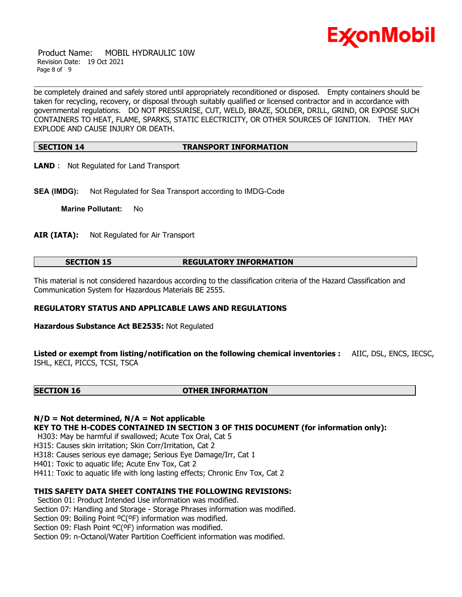

 Product Name: MOBIL HYDRAULIC 10W Revision Date: 19 Oct 2021 Page 8 of 9

be completely drained and safely stored until appropriately reconditioned or disposed. Empty containers should be taken for recycling, recovery, or disposal through suitably qualified or licensed contractor and in accordance with governmental regulations. DO NOT PRESSURISE, CUT, WELD, BRAZE, SOLDER, DRILL, GRIND, OR EXPOSE SUCH CONTAINERS TO HEAT, FLAME, SPARKS, STATIC ELECTRICITY, OR OTHER SOURCES OF IGNITION. THEY MAY EXPLODE AND CAUSE INJURY OR DEATH.

# **SECTION 14 TRANSPORT INFORMATION**

- **LAND** : Not Regulated for Land Transport
- **SEA (IMDG):** Not Regulated for Sea Transport according to IMDG-Code

**Marine Pollutant:** No

**AIR (IATA):** Not Regulated for Air Transport

# **SECTION 15 REGULATORY INFORMATION**

This material is not considered hazardous according to the classification criteria of the Hazard Classification and Communication System for Hazardous Materials BE 2555.

# **REGULATORY STATUS AND APPLICABLE LAWS AND REGULATIONS**

**Hazardous Substance Act BE2535:** Not Regulated

**Listed or exempt from listing/notification on the following chemical inventories :** AIIC, DSL, ENCS, IECSC, ISHL, KECI, PICCS, TCSI, TSCA

#### **SECTION 16 OTHER INFORMATION**

**N/D = Not determined, N/A = Not applicable**

**KEY TO THE H-CODES CONTAINED IN SECTION 3 OF THIS DOCUMENT (for information only):**

H303: May be harmful if swallowed; Acute Tox Oral, Cat 5

H315: Causes skin irritation; Skin Corr/Irritation, Cat 2

H318: Causes serious eye damage; Serious Eye Damage/Irr, Cat 1

H401: Toxic to aquatic life; Acute Env Tox, Cat 2

H411: Toxic to aquatic life with long lasting effects; Chronic Env Tox, Cat 2

# **THIS SAFETY DATA SHEET CONTAINS THE FOLLOWING REVISIONS:**

Section 01: Product Intended Use information was modified.

Section 07: Handling and Storage - Storage Phrases information was modified.

Section 09: Boiling Point °C(°F) information was modified.

Section 09: Flash Point ºC(ºF) information was modified.

Section 09: n-Octanol/Water Partition Coefficient information was modified.